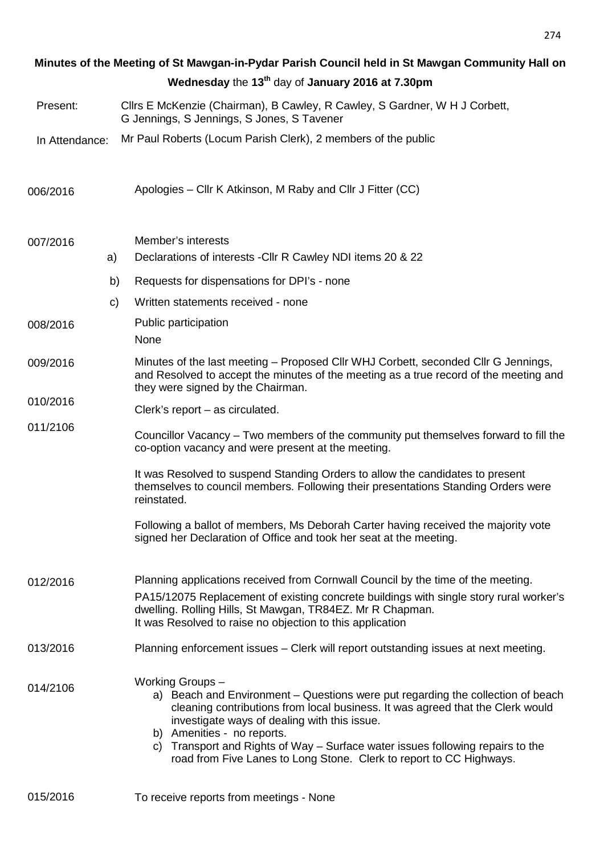| Minutes of the Meeting of St Mawgan-in-Pydar Parish Council held in St Mawgan Community Hall on |    |                                                                                                                                                                                                                                                                                                                                                                                                                             |  |  |  |
|-------------------------------------------------------------------------------------------------|----|-----------------------------------------------------------------------------------------------------------------------------------------------------------------------------------------------------------------------------------------------------------------------------------------------------------------------------------------------------------------------------------------------------------------------------|--|--|--|
|                                                                                                 |    | Wednesday the 13 <sup>th</sup> day of January 2016 at 7.30pm                                                                                                                                                                                                                                                                                                                                                                |  |  |  |
| Present:                                                                                        |    | Cllrs E McKenzie (Chairman), B Cawley, R Cawley, S Gardner, W H J Corbett,<br>G Jennings, S Jennings, S Jones, S Tavener                                                                                                                                                                                                                                                                                                    |  |  |  |
| In Attendance:                                                                                  |    | Mr Paul Roberts (Locum Parish Clerk), 2 members of the public                                                                                                                                                                                                                                                                                                                                                               |  |  |  |
| 006/2016                                                                                        |    | Apologies – Cllr K Atkinson, M Raby and Cllr J Fitter (CC)                                                                                                                                                                                                                                                                                                                                                                  |  |  |  |
| 007/2016                                                                                        | a) | Member's interests<br>Declarations of interests - Cllr R Cawley NDI items 20 & 22                                                                                                                                                                                                                                                                                                                                           |  |  |  |
|                                                                                                 | b) | Requests for dispensations for DPI's - none                                                                                                                                                                                                                                                                                                                                                                                 |  |  |  |
|                                                                                                 | C) | Written statements received - none                                                                                                                                                                                                                                                                                                                                                                                          |  |  |  |
| 008/2016                                                                                        |    | Public participation<br>None                                                                                                                                                                                                                                                                                                                                                                                                |  |  |  |
| 009/2016                                                                                        |    | Minutes of the last meeting – Proposed Cllr WHJ Corbett, seconded Cllr G Jennings,<br>and Resolved to accept the minutes of the meeting as a true record of the meeting and<br>they were signed by the Chairman.                                                                                                                                                                                                            |  |  |  |
| 010/2016                                                                                        |    | Clerk's report $-$ as circulated.                                                                                                                                                                                                                                                                                                                                                                                           |  |  |  |
| 011/2106                                                                                        |    | Councillor Vacancy – Two members of the community put themselves forward to fill the<br>co-option vacancy and were present at the meeting.                                                                                                                                                                                                                                                                                  |  |  |  |
|                                                                                                 |    | It was Resolved to suspend Standing Orders to allow the candidates to present<br>themselves to council members. Following their presentations Standing Orders were<br>reinstated.                                                                                                                                                                                                                                           |  |  |  |
|                                                                                                 |    | Following a ballot of members, Ms Deborah Carter having received the majority vote<br>signed her Declaration of Office and took her seat at the meeting.                                                                                                                                                                                                                                                                    |  |  |  |
| 012/2016                                                                                        |    | Planning applications received from Cornwall Council by the time of the meeting.<br>PA15/12075 Replacement of existing concrete buildings with single story rural worker's<br>dwelling. Rolling Hills, St Mawgan, TR84EZ. Mr R Chapman.<br>It was Resolved to raise no objection to this application                                                                                                                        |  |  |  |
| 013/2016                                                                                        |    | Planning enforcement issues - Clerk will report outstanding issues at next meeting.                                                                                                                                                                                                                                                                                                                                         |  |  |  |
| 014/2106                                                                                        |    | Working Groups-<br>a) Beach and Environment – Questions were put regarding the collection of beach<br>cleaning contributions from local business. It was agreed that the Clerk would<br>investigate ways of dealing with this issue.<br>b) Amenities - no reports.<br>c) Transport and Rights of Way – Surface water issues following repairs to the<br>road from Five Lanes to Long Stone. Clerk to report to CC Highways. |  |  |  |
| 015/2016                                                                                        |    | To receive reports from meetings - None                                                                                                                                                                                                                                                                                                                                                                                     |  |  |  |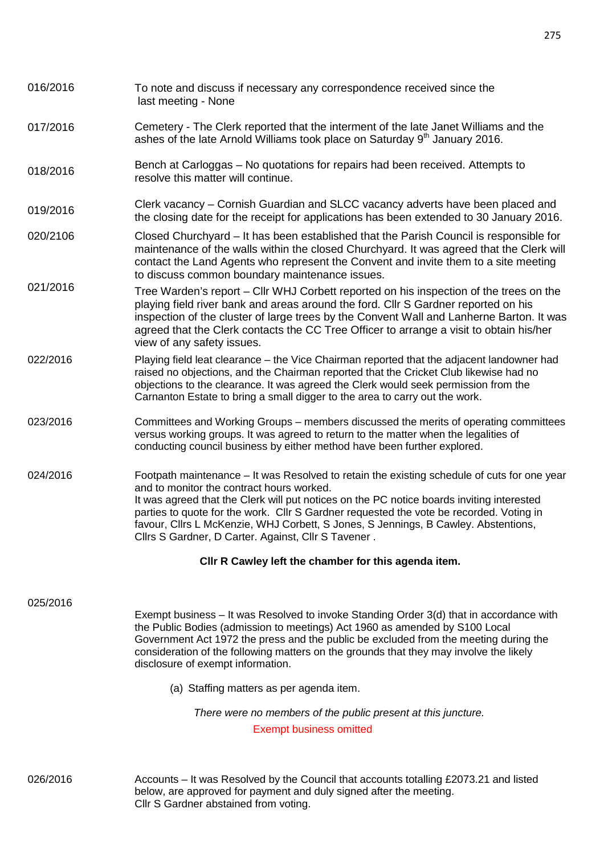| 016/2016 | To note and discuss if necessary any correspondence received since the<br>last meeting - None                                                                                                                                                                                                                                                                                                                                                                                 |  |  |
|----------|-------------------------------------------------------------------------------------------------------------------------------------------------------------------------------------------------------------------------------------------------------------------------------------------------------------------------------------------------------------------------------------------------------------------------------------------------------------------------------|--|--|
| 017/2016 | Cemetery - The Clerk reported that the interment of the late Janet Williams and the<br>ashes of the late Arnold Williams took place on Saturday 9 <sup>th</sup> January 2016.                                                                                                                                                                                                                                                                                                 |  |  |
| 018/2016 | Bench at Carloggas – No quotations for repairs had been received. Attempts to<br>resolve this matter will continue.                                                                                                                                                                                                                                                                                                                                                           |  |  |
| 019/2016 | Clerk vacancy – Cornish Guardian and SLCC vacancy adverts have been placed and<br>the closing date for the receipt for applications has been extended to 30 January 2016.                                                                                                                                                                                                                                                                                                     |  |  |
| 020/2106 | Closed Churchyard – It has been established that the Parish Council is responsible for<br>maintenance of the walls within the closed Churchyard. It was agreed that the Clerk will<br>contact the Land Agents who represent the Convent and invite them to a site meeting<br>to discuss common boundary maintenance issues.                                                                                                                                                   |  |  |
| 021/2016 | Tree Warden's report - Cllr WHJ Corbett reported on his inspection of the trees on the<br>playing field river bank and areas around the ford. Cllr S Gardner reported on his<br>inspection of the cluster of large trees by the Convent Wall and Lanherne Barton. It was<br>agreed that the Clerk contacts the CC Tree Officer to arrange a visit to obtain his/her<br>view of any safety issues.                                                                             |  |  |
| 022/2016 | Playing field leat clearance - the Vice Chairman reported that the adjacent landowner had<br>raised no objections, and the Chairman reported that the Cricket Club likewise had no<br>objections to the clearance. It was agreed the Clerk would seek permission from the<br>Carnanton Estate to bring a small digger to the area to carry out the work.                                                                                                                      |  |  |
| 023/2016 | Committees and Working Groups – members discussed the merits of operating committees<br>versus working groups. It was agreed to return to the matter when the legalities of<br>conducting council business by either method have been further explored.                                                                                                                                                                                                                       |  |  |
| 024/2016 | Footpath maintenance – It was Resolved to retain the existing schedule of cuts for one year<br>and to monitor the contract hours worked.<br>It was agreed that the Clerk will put notices on the PC notice boards inviting interested<br>parties to quote for the work. Cllr S Gardner requested the vote be recorded. Voting in<br>favour, Cllrs L McKenzie, WHJ Corbett, S Jones, S Jennings, B Cawley. Abstentions,<br>Cllrs S Gardner, D Carter. Against, Cllr S Tavener. |  |  |
|          | CIIr R Cawley left the chamber for this agenda item.                                                                                                                                                                                                                                                                                                                                                                                                                          |  |  |
| 025/2016 | Exempt business – It was Resolved to invoke Standing Order 3(d) that in accordance with<br>the Public Bodies (admission to meetings) Act 1960 as amended by S100 Local<br>Government Act 1972 the press and the public be excluded from the meeting during the<br>consideration of the following matters on the grounds that they may involve the likely<br>disclosure of exempt information.                                                                                 |  |  |
|          | (a) Staffing matters as per agenda item.                                                                                                                                                                                                                                                                                                                                                                                                                                      |  |  |
|          | There were no members of the public present at this juncture.<br><b>Exempt business omitted</b>                                                                                                                                                                                                                                                                                                                                                                               |  |  |
|          |                                                                                                                                                                                                                                                                                                                                                                                                                                                                               |  |  |

026/2016 Accounts – It was Resolved by the Council that accounts totalling £2073.21 and listed below, are approved for payment and duly signed after the meeting. Cllr S Gardner abstained from voting.